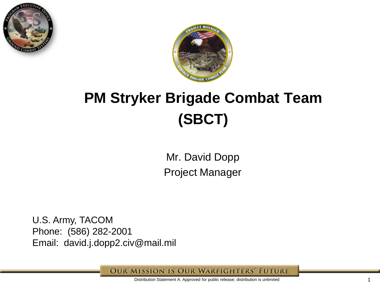



# **PM Stryker Brigade Combat Team (SBCT)**

Mr. David Dopp Project Manager

U.S. Army, TACOM Phone: (586) 282-2001 Email: david.j.dopp2.civ@mail.mil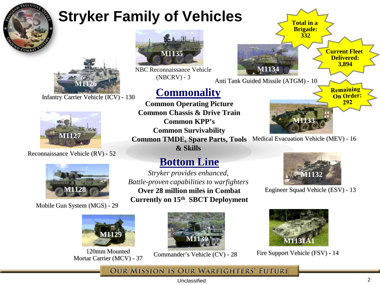

# **Stryker Family of Vehicles**



Infantry Carrier Vehicle (ICV) - 130



#### Reconnaissance Vehicle (RV) - 52



Mobile Gun System (MGS) - 29



120mm Mounted Mortar Carrier (MCV) - 37



NBC Reconnaissance Vehicle (NBCRV) - 3

### **Commonality**

**Common Operating Picture Common Chassis & Drive Train Common KPP's Common Survivability Common TMDE, Spare Parts, Tools Medical Evacuation Vehicle (MEV) - 16 & Skills**

### **Bottom Line**

*Stryker provides enhanced, Battle-proven capabilities to warfighters* **Over 28 million miles in Combat Currently on 15th SBCT Deployment**



Commander's Vehicle (CV) - 28





Engineer Squad Vehicle (ESV) - 13



Fire Support Vehicle (FSV) - 14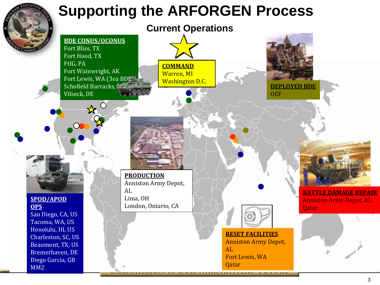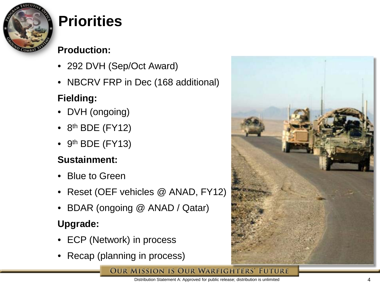

# **Priorities**

### **Production:**

- 292 DVH (Sep/Oct Award)
- NBCRV FRP in Dec (168 additional)

### **Fielding:**

- DVH (ongoing)
- $\bullet$  8<sup>th</sup> BDE (FY12)
- $\bullet$  9<sup>th</sup> BDE (FY13)

### **Sustainment:**

- Blue to Green
- Reset (OEF vehicles @ ANAD, FY12)
- BDAR (ongoing @ ANAD / Qatar)

### **Upgrade:**

- ECP (Network) in process
- Recap (planning in process)





Distribution Statement A: Approved for public release; distribution is unlimited 4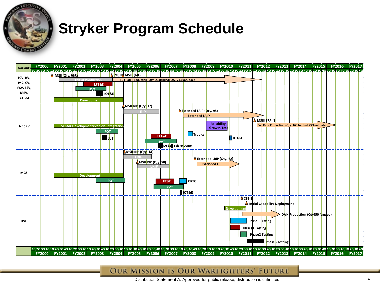

# **Stryker Program Schedule**

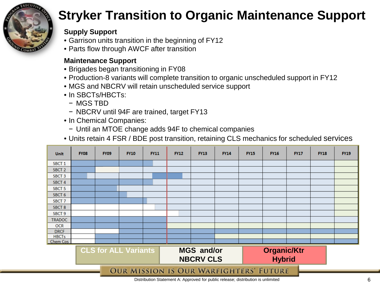

## **Stryker Transition to Organic Maintenance Support**

#### **Supply Support**

- Garrison units transition in the beginning of FY12
- Parts flow through AWCF after transition

#### **Maintenance Support**

- Brigades began transitioning in FY08
- Production-8 variants will complete transition to organic unscheduled support in FY12
- MGS and NBCRV will retain unscheduled service support
- In SBCTs/HBCTs:
	- − MGS TBD
	- − NBCRV until 94F are trained, target FY13
- In Chemical Companies:
	- − Until an MTOE change adds 94F to chemical companies
- Units retain 4 FSR / BDE post transition, retaining CLS mechanics for scheduled services

| Unit                                          | <b>FY08</b> | <b>FY09</b>                 | <b>FY10</b> | <b>FY11</b> | <b>FY12</b> | <b>FY13</b>                           | <b>FY14</b> | <b>FY15</b> | <b>FY16</b>                         | <b>FY17</b> | <b>FY18</b> | <b>FY19</b> |
|-----------------------------------------------|-------------|-----------------------------|-------------|-------------|-------------|---------------------------------------|-------------|-------------|-------------------------------------|-------------|-------------|-------------|
| SBCT <sub>1</sub>                             |             |                             |             |             |             |                                       |             |             |                                     |             |             |             |
| SBCT <sub>2</sub>                             |             |                             |             |             |             |                                       |             |             |                                     |             |             |             |
| SBCT <sub>3</sub>                             |             |                             |             |             |             |                                       |             |             |                                     |             |             |             |
| SBCT <sub>4</sub>                             |             |                             |             |             |             |                                       |             |             |                                     |             |             |             |
| SBCT <sub>5</sub>                             |             |                             |             |             |             |                                       |             |             |                                     |             |             |             |
| SBCT <sub>6</sub>                             |             |                             |             |             |             |                                       |             |             |                                     |             |             |             |
| SBCT <sub>7</sub>                             |             |                             |             |             |             |                                       |             |             |                                     |             |             |             |
| SBCT <sub>8</sub>                             |             |                             |             |             |             |                                       |             |             |                                     |             |             |             |
| SBCT <sub>9</sub>                             |             |                             |             |             |             |                                       |             |             |                                     |             |             |             |
| <b>TRADOC</b>                                 |             |                             |             |             |             |                                       |             |             |                                     |             |             |             |
| <b>OCR</b>                                    |             |                             |             |             |             |                                       |             |             |                                     |             |             |             |
| <b>DRCF</b>                                   |             |                             |             |             |             |                                       |             |             |                                     |             |             |             |
| <b>HBCTs</b>                                  |             |                             |             |             |             |                                       |             |             |                                     |             |             |             |
| Chem Cos                                      |             |                             |             |             |             |                                       |             |             |                                     |             |             |             |
|                                               |             | <b>CLS for ALL Variants</b> |             |             |             | <b>MGS and/or</b><br><b>NBCRV CLS</b> |             |             | <b>Organic/Ktr</b><br><b>Hybrid</b> |             |             |             |
| <b>OUR MISSION IS OUR WARFIGHTERS' FUTURE</b> |             |                             |             |             |             |                                       |             |             |                                     |             |             |             |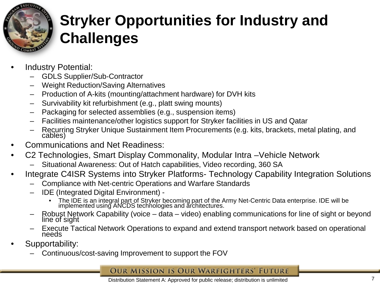

# **Stryker Opportunities for Industry and Challenges**

- Industry Potential:
	- GDLS Supplier/Sub-Contractor
	- Weight Reduction/Saving Alternatives
	- Production of A-kits (mounting/attachment hardware) for DVH kits
	- Survivability kit refurbishment (e.g., platt swing mounts)
	- Packaging for selected assemblies (e.g., suspension items)
	- Facilities maintenance/other logistics support for Stryker facilities in US and Qatar
	- Recurring Stryker Unique Sustainment Item Procurements (e.g. kits, brackets, metal plating, and cables)
- Communications and Net Readiness:
- C2 Technologies, Smart Display Commonality, Modular Intra –Vehicle Network
	- Situational Awareness: Out of Hatch capabilities, Video recording, 360 SA
- Integrate C4ISR Systems into Stryker Platforms- Technology Capability Integration Solutions
	- Compliance with Net-centric Operations and Warfare Standards
	- IDE (Integrated Digital Environment)
		- The IDE is an integral part of Stryker becoming part of the Army Net-Centric Data enterprise. IDE will be implemented using ANCDS technologies and architectures.
	- Robust Network Capability (voice data video) enabling communications for line of sight or beyond line of sight or beyond
	- Execute Tactical Network Operations to expand and extend transport network based on operational needs
- Supportability:
	- Continuous/cost-saving Improvement to support the FOV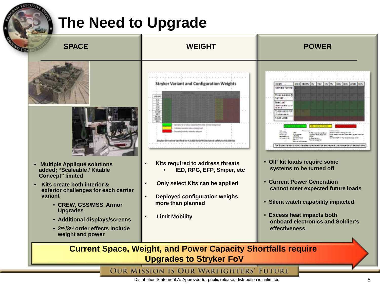# **The Need to Upgrade**





- **Multiple Appliqué solutions added; "Scaleable / Kitable Concept" limited**
- **Kits create both interior & exterior challenges for each carrier variant**
	- **CREW, GSS/MSS, Armor Upgrades**
	- **Additional displays/screens**
	- **2nd/3rd order effects include weight and power**



- • **Kits required to address threats** • **IED, RPG, EFP, Sniper, etc**
- **Only select Kits can be applied**
- • **Deployed configuration weighs more than planned**
- **Limit Mobility**



- • **OIF kit loads require some systems to be turned off**
- • **Current Power Generation cannot meet expected future loads**
- • **Silent watch capability impacted**
- • **Excess heat impacts both onboard electronics and Soldier's effectiveness**

**Current Space, Weight, and Power Capacity Shortfalls require Upgrades to Stryker FoV**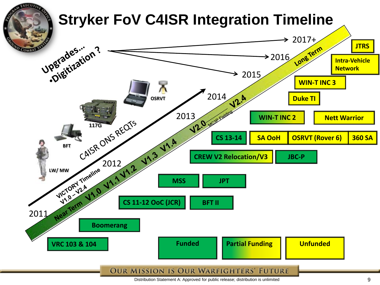

Distribution Statement A: Approved for public release; distribution is unlimited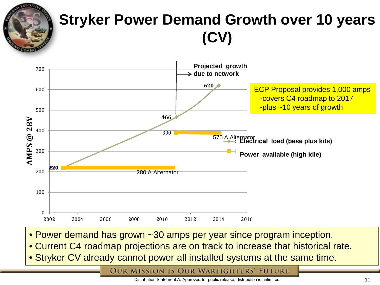# **Stryker Power Demand Growth over 10 years (CV)**



- Power demand has grown ~30 amps per year since program inception.
- Current C4 roadmap projections are on track to increase that historical rate.
- **Stryker CV already cannot power all installed systems at the same time.**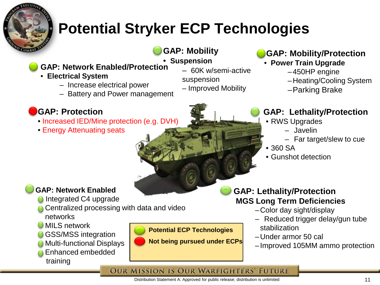

# **Potential Stryker ECP Technologies**

**GAP: Mobility**

–60K w/semi-active

– Improved Mobility

suspension

- • **Suspension GAP: Network Enabled/Protection**
- **Electrical System**
	- Increase electrical power
	- Battery and Power management

### **GAP: Protection**

- Increased IED/Mine protection (e.g. DVH)
- Energy Attenuating seats
- **GAP: Mobility/Protection**
	- **Power Train Upgrade**
		- –450HP engine
		- –Heating/Cooling System
		- –Parking Brake

### **GAP: Lethality/Protection**

- RWS Upgrades
	- Javelin
	- Far target/slew to cue
- 360 SA
- Gunshot detection

### **GAP: Lethality/Protection MGS Long Term Deficiencies**

- –Color day sight/display
- Reduced trigger delay/gun tube stabilization
- –Under armor 50 cal
- –Improved 105MM ammo protection

#### **OUR MISSION IS OUR WARFIGHTERS' FUTURE**

#### Distribution Statement A: Approved for public release; distribution is unlimited

### **GAP: Network Enabled**

- Integrated C4 upgrade
- Centralized processing with data and video networks
- **U** MILS network
- **GSS/MSS integration**
- Multi-functional Displays
- Enhanced embedded training

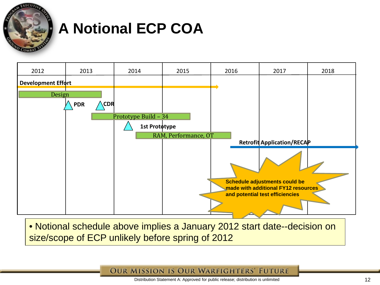

# **A Notional ECP COA**



• Notional schedule above implies a January 2012 start date--decision on size/scope of ECP unlikely before spring of 2012